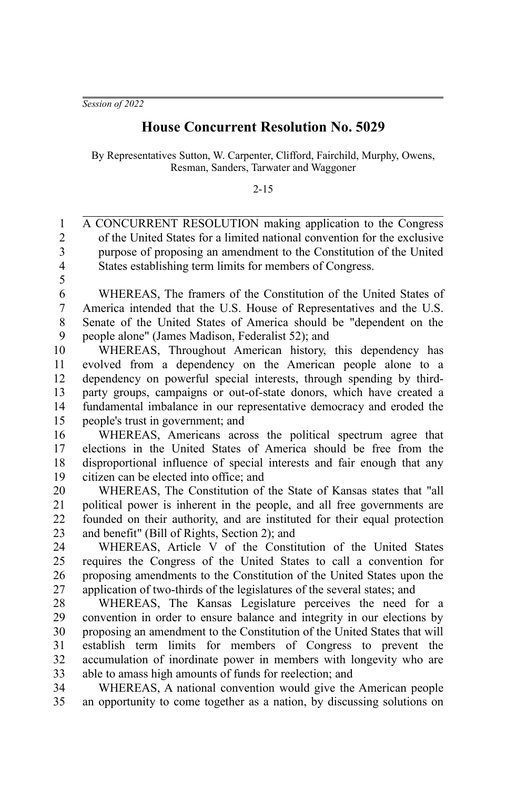*Session of 2022*

## **House Concurrent Resolution No. 5029**

By Representatives Sutton, W. Carpenter, Clifford, Fairchild, Murphy, Owens, Resman, Sanders, Tarwater and Waggoner

2-15

A CONCURRENT RESOLUTION making application to the Congress of the United States for a limited national convention for the exclusive purpose of proposing an amendment to the Constitution of the United States establishing term limits for members of Congress. 1 2 3 4 5

WHEREAS, The framers of the Constitution of the United States of America intended that the U.S. House of Representatives and the U.S. Senate of the United States of America should be "dependent on the people alone" (James Madison, Federalist 52); and 6 7 8 9

WHEREAS, Throughout American history, this dependency has evolved from a dependency on the American people alone to a dependency on powerful special interests, through spending by thirdparty groups, campaigns or out-of-state donors, which have created a fundamental imbalance in our representative democracy and eroded the people's trust in government; and 10 11 12 13 14 15

WHEREAS, Americans across the political spectrum agree that elections in the United States of America should be free from the disproportional influence of special interests and fair enough that any citizen can be elected into office; and 16 17 18 19

WHEREAS, The Constitution of the State of Kansas states that "all political power is inherent in the people, and all free governments are founded on their authority, and are instituted for their equal protection and benefit" (Bill of Rights, Section 2); and 20 21 22 23

WHEREAS, Article V of the Constitution of the United States requires the Congress of the United States to call a convention for proposing amendments to the Constitution of the United States upon the application of two-thirds of the legislatures of the several states; and 24 25 26 27

WHEREAS, The Kansas Legislature perceives the need for a convention in order to ensure balance and integrity in our elections by proposing an amendment to the Constitution of the United States that will establish term limits for members of Congress to prevent the accumulation of inordinate power in members with longevity who are able to amass high amounts of funds for reelection; and 28 29 30 31 32 33

WHEREAS, A national convention would give the American people an opportunity to come together as a nation, by discussing solutions on 34 35